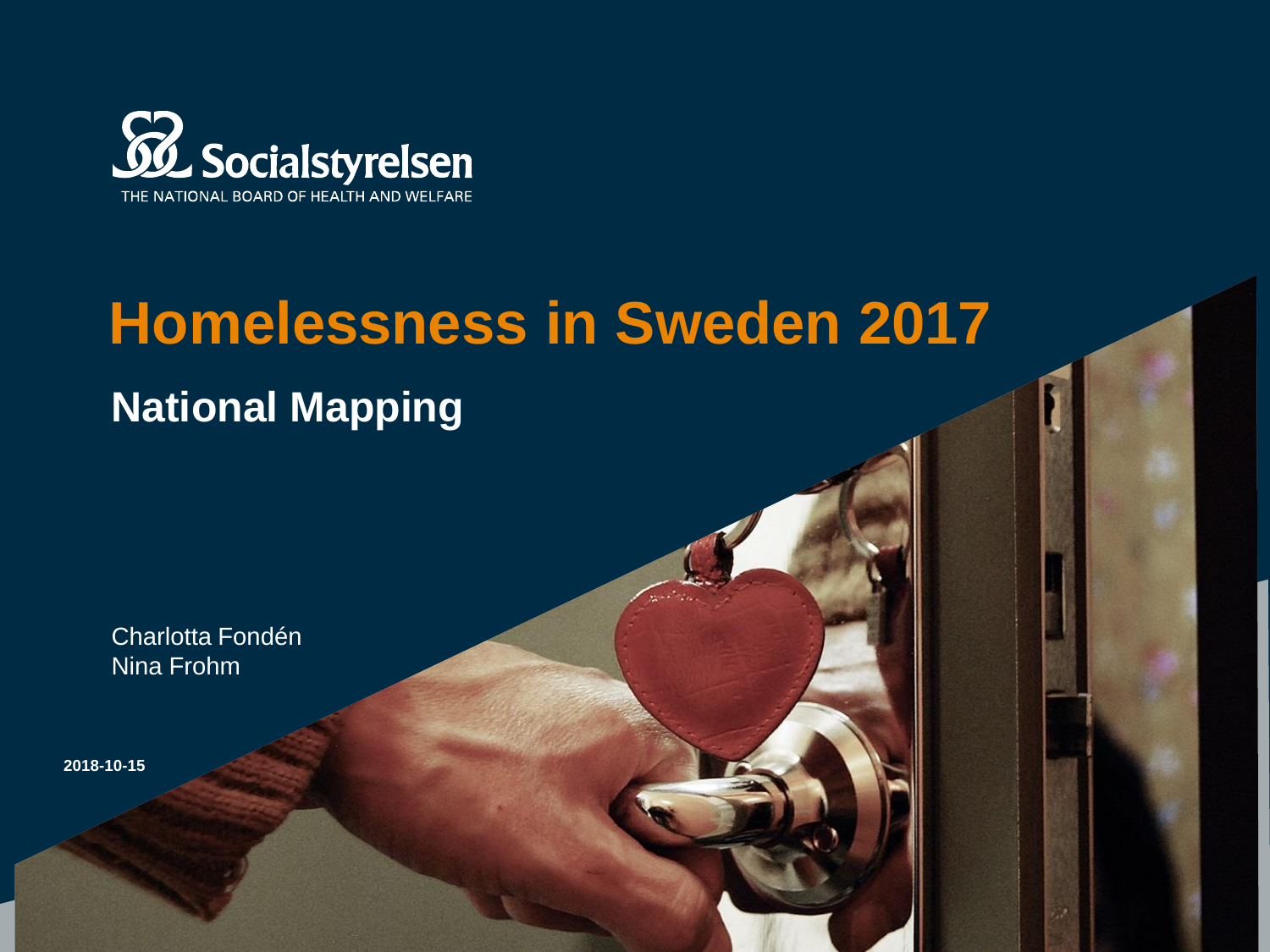

## **Homelessness in Sweden 2017**

### **National Mapping**

Charlotta Fondén Nina Frohm

**2018-10-15**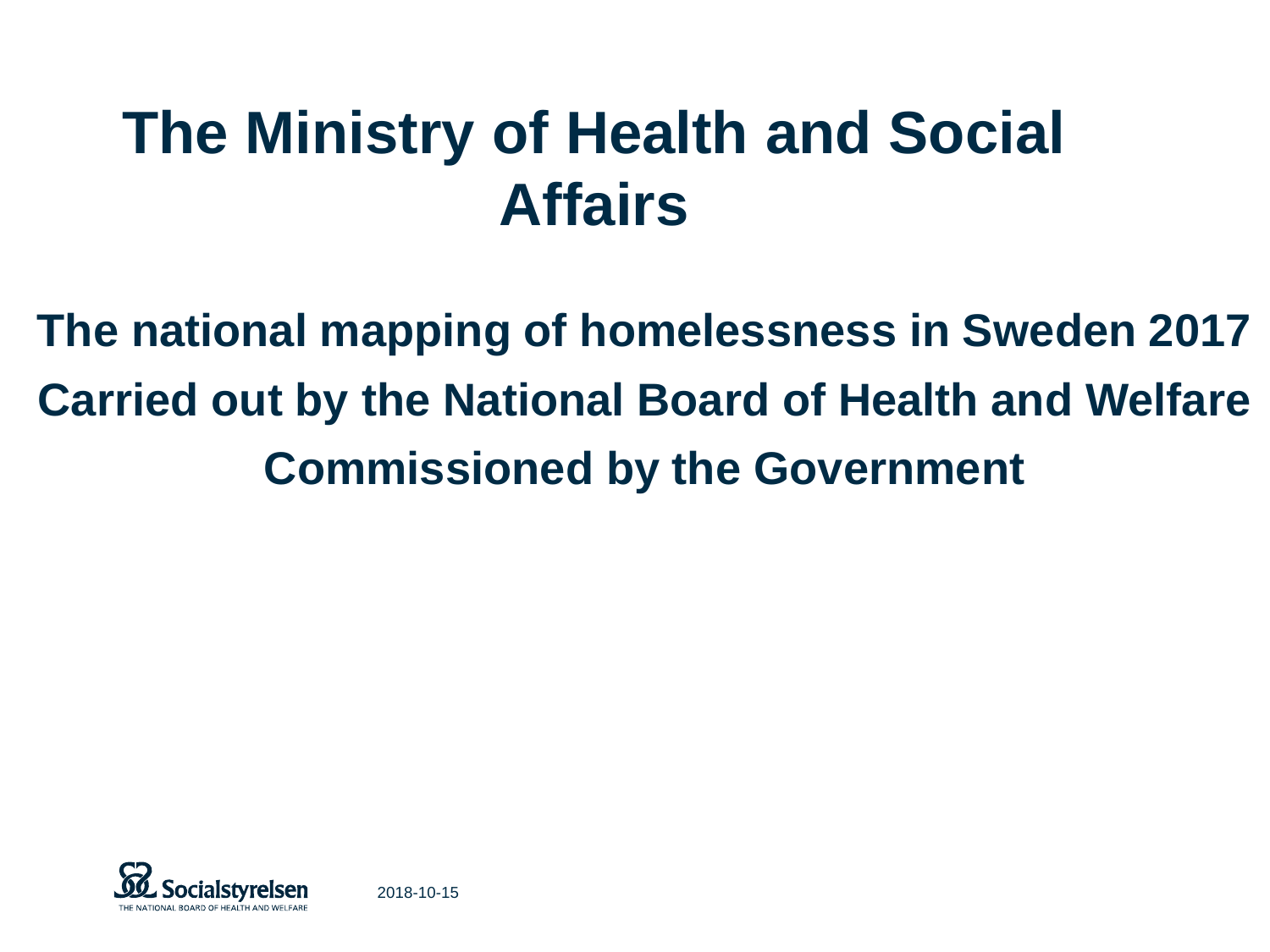# **The Ministry of Health and Social Affairs**

**The national mapping of homelessness in Sweden 2017 Carried out by the National Board of Health and Welfare Commissioned by the Government**

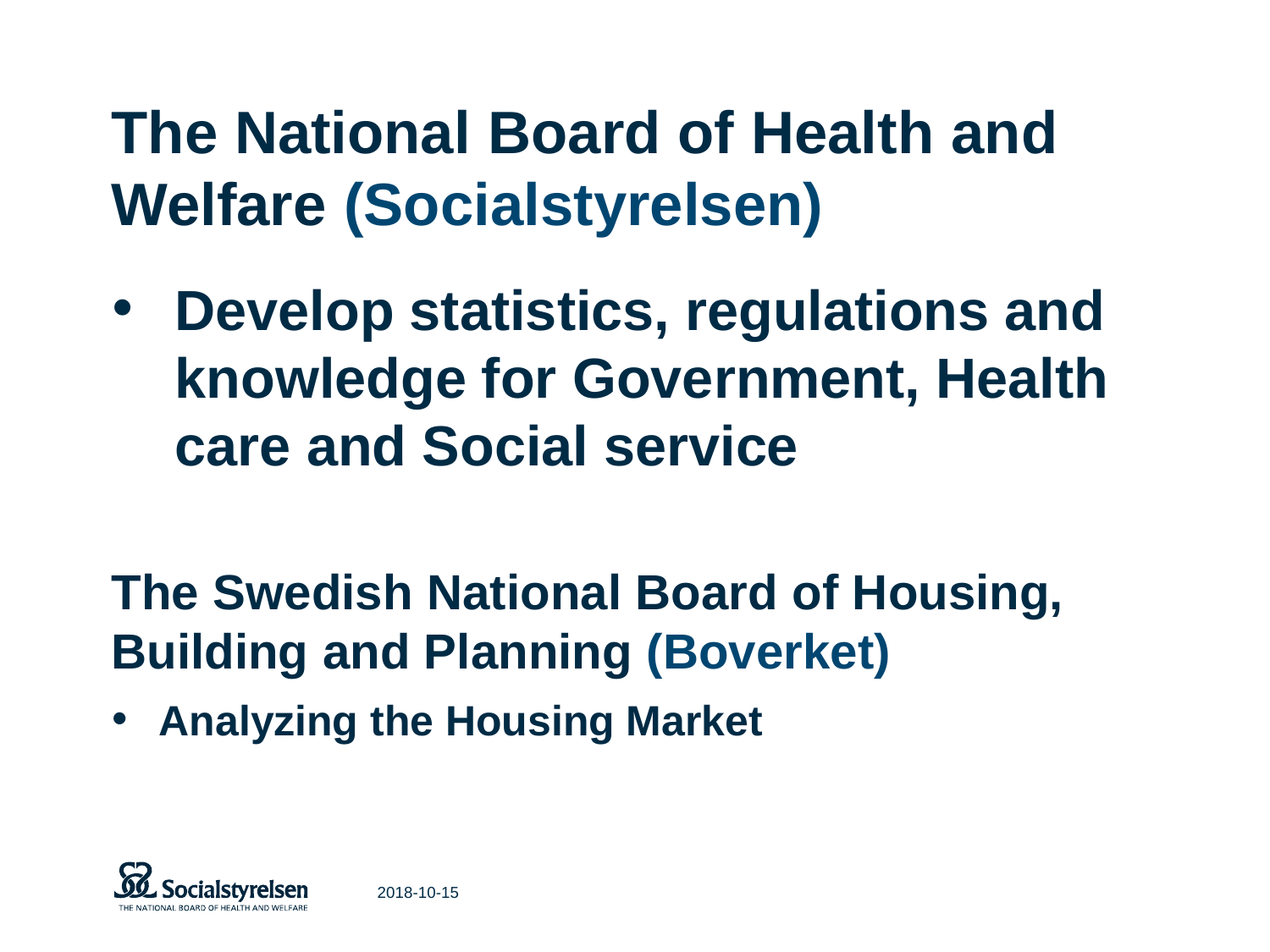# **The National Board of Health and Welfare (Socialstyrelsen)**

- **Develop statistics, regulations and knowledge for Government, Health care and Social service**
- **The Swedish National Board of Housing, Building and Planning (Boverket)**
- **Analyzing the Housing Market**

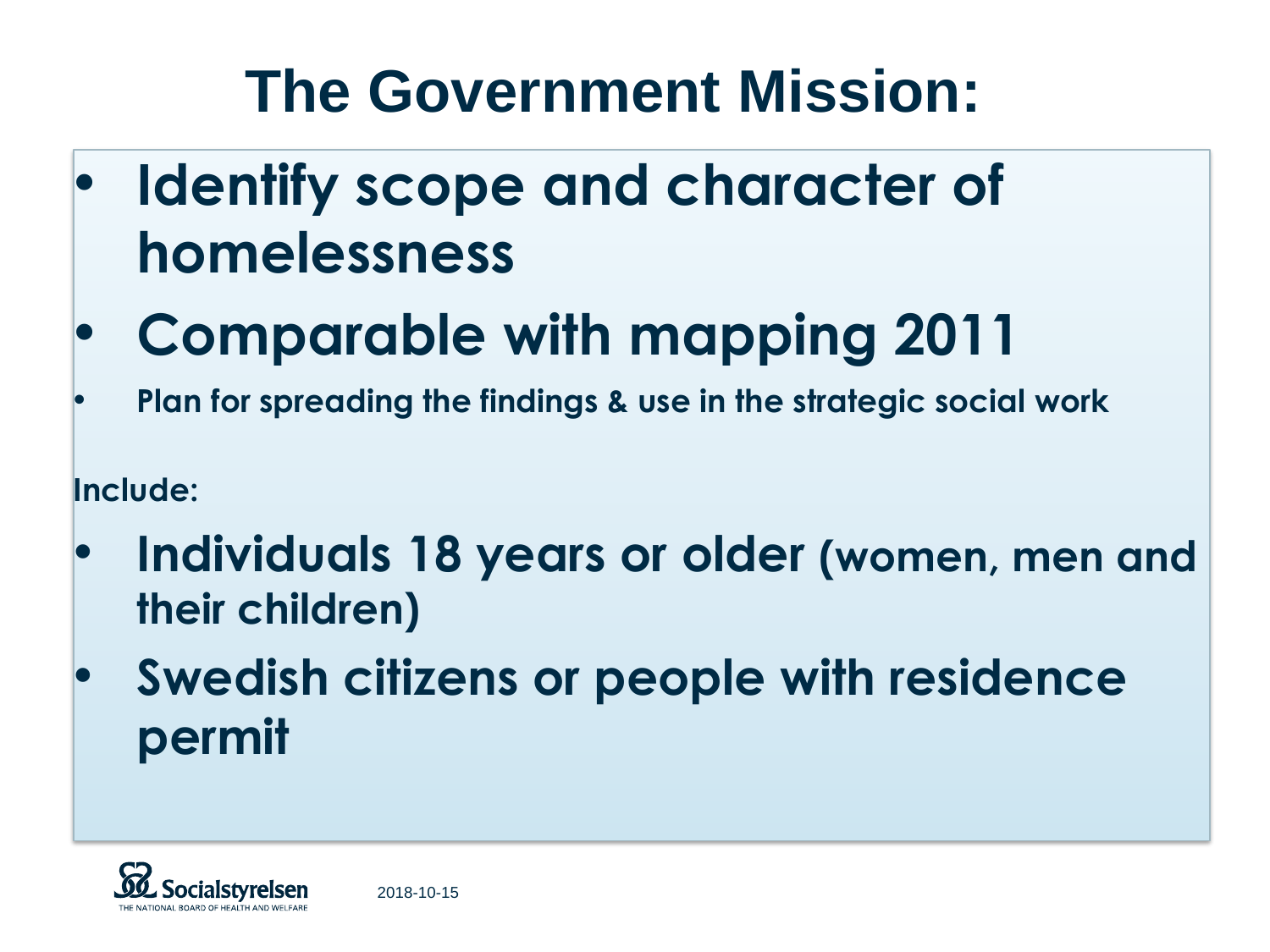# **The Government Mission:**

- **Identify scope and character of homelessness**
- **Comparable with mapping 2011**
- **Plan for spreading the findings & use in the strategic social work**

**Include:**

- **Individuals 18 years or older (women, men and their children)**
- **Swedish citizens or people with residence permit**

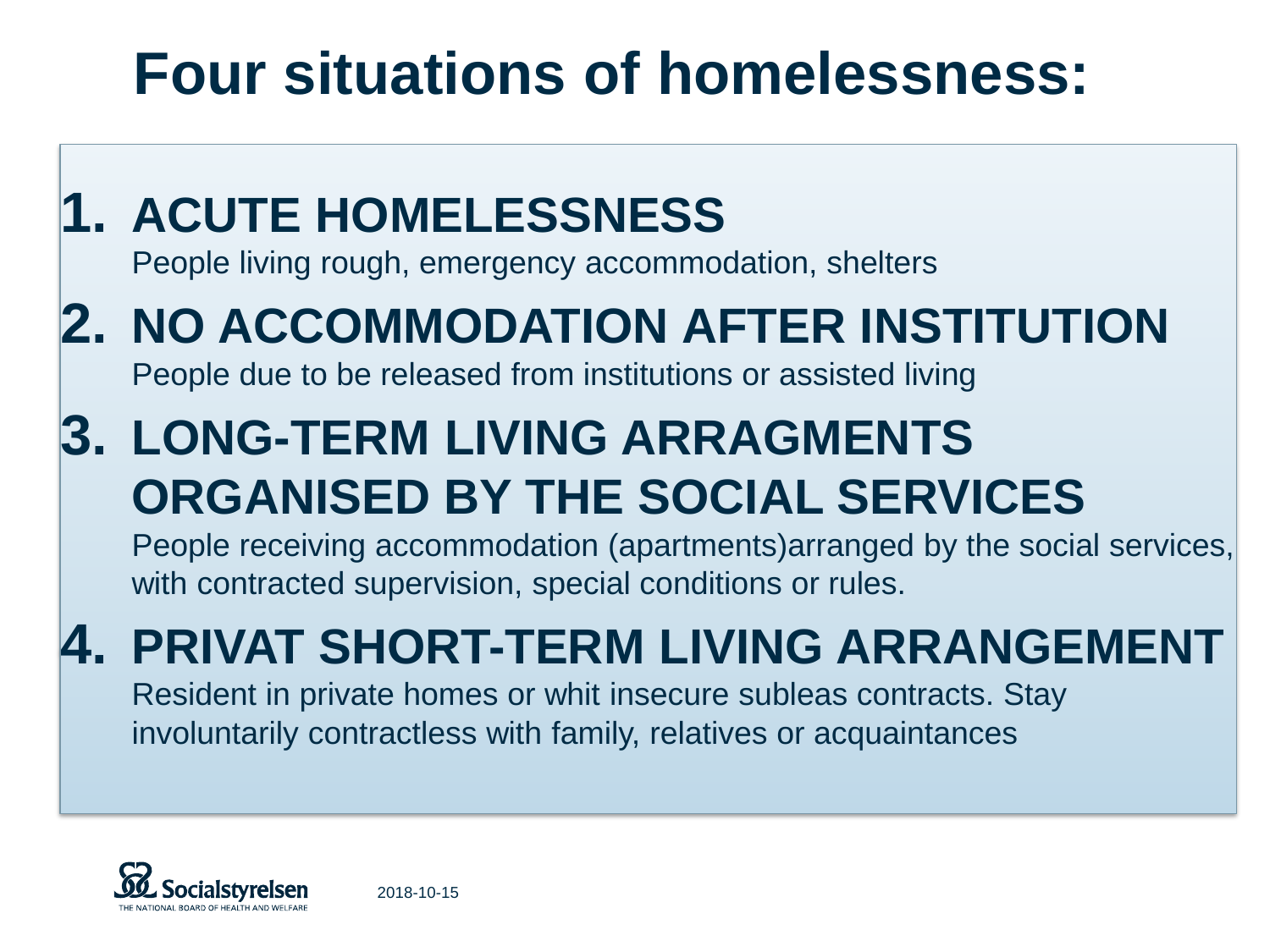# **Four situations of homelessness:**

### **1. ACUTE HOMELESSNESS**  People living rough, emergency accommodation, shelters **2. NO ACCOMMODATION AFTER INSTITUTION**  People due to be released from institutions or assisted living **3. LONG-TERM LIVING ARRAGMENTS ORGANISED BY THE SOCIAL SERVICES**  People receiving accommodation (apartments)arranged by the social services, with contracted supervision, special conditions or rules. **4. PRIVAT SHORT-TERM LIVING ARRANGEMENT**  Resident in private homes or whit insecure subleas contracts. Stay involuntarily contractless with family, relatives or acquaintances

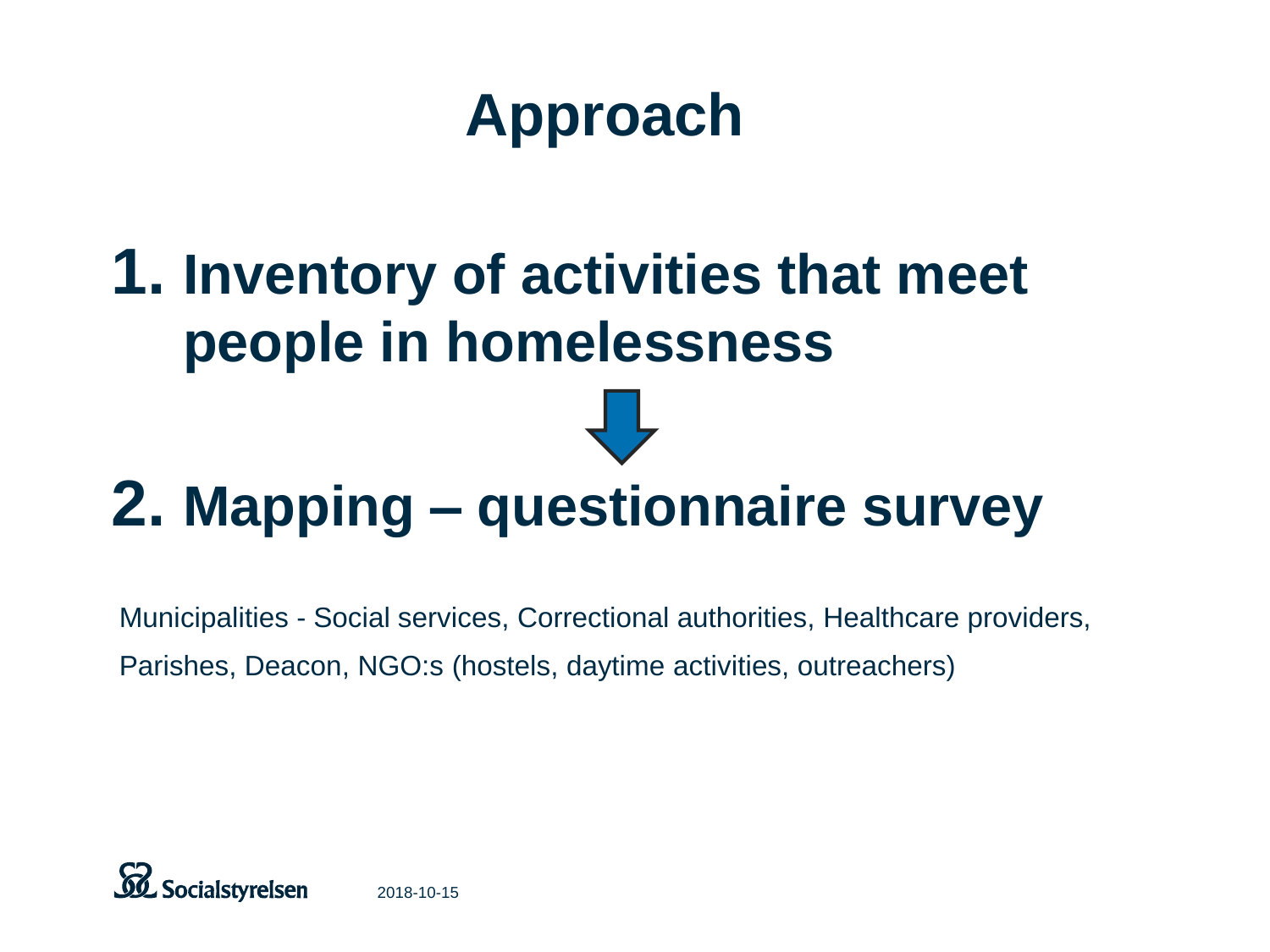# **Approach**

# **1. Inventory of activities that meet people in homelessness**

# **2. Mapping – questionnaire survey**

Municipalities - Social services, Correctional authorities, Healthcare providers, Parishes, Deacon, NGO:s (hostels, daytime activities, outreachers)

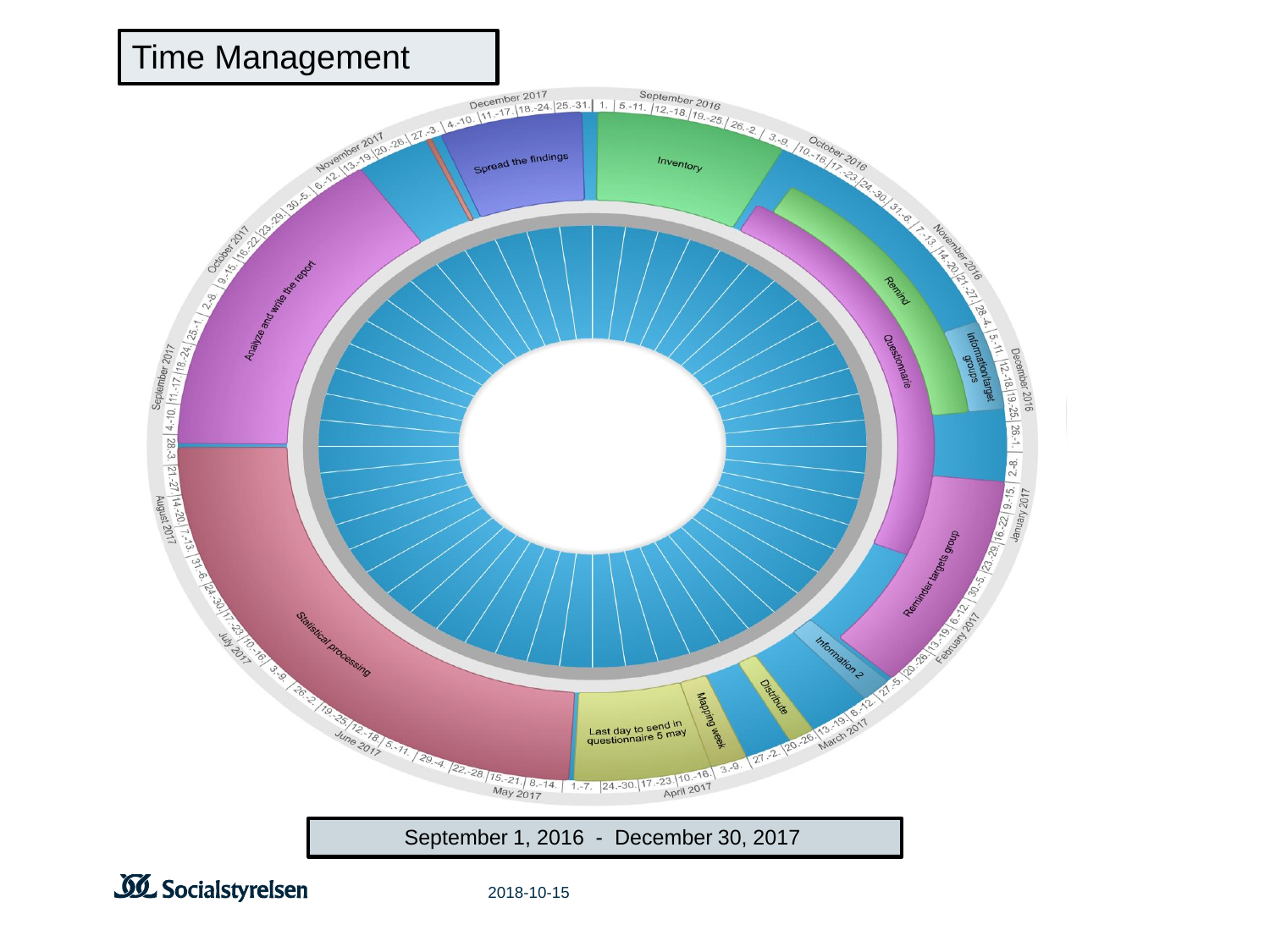

**SI** Socialstyrelsen

2018-10-15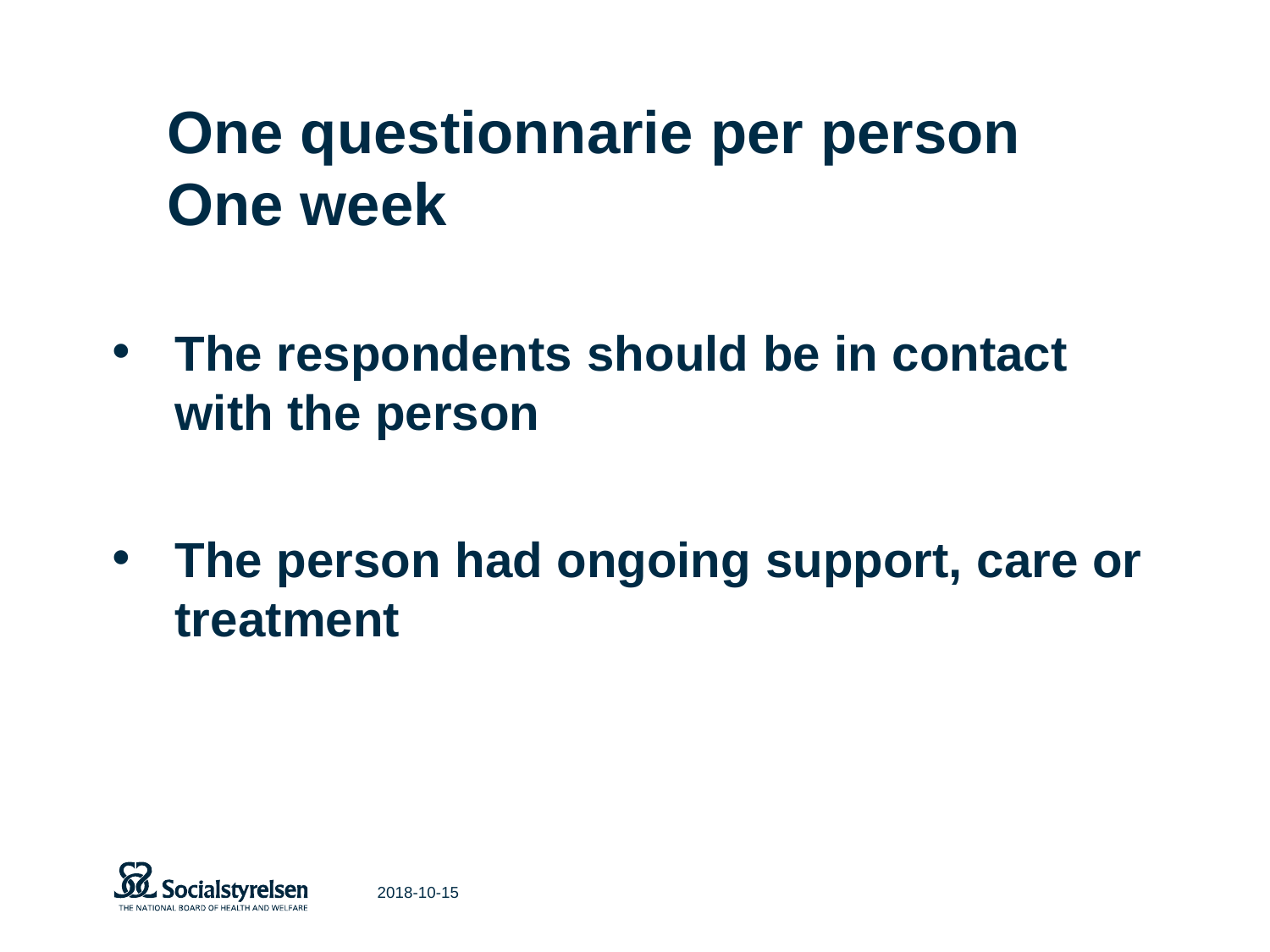# **One questionnarie per person One week**

- **The respondents should be in contact with the person**
- **The person had ongoing support, care or treatment**

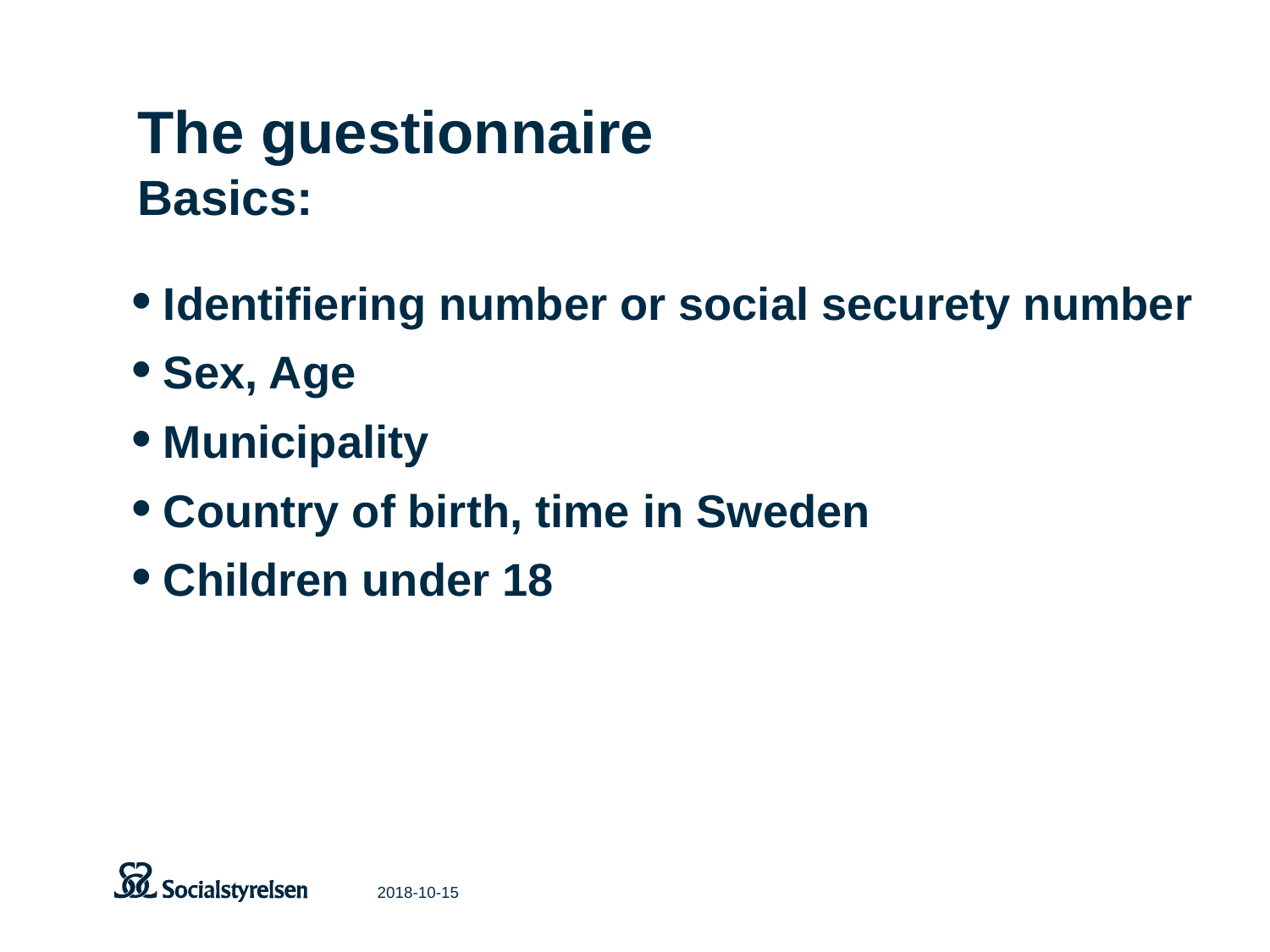## **The guestionnaire Basics:**

- •**Identifiering number or social securety number**
- •**Sex, Age**
- •**Municipality**
- •**Country of birth, time in Sweden**
- •**Children under 18**

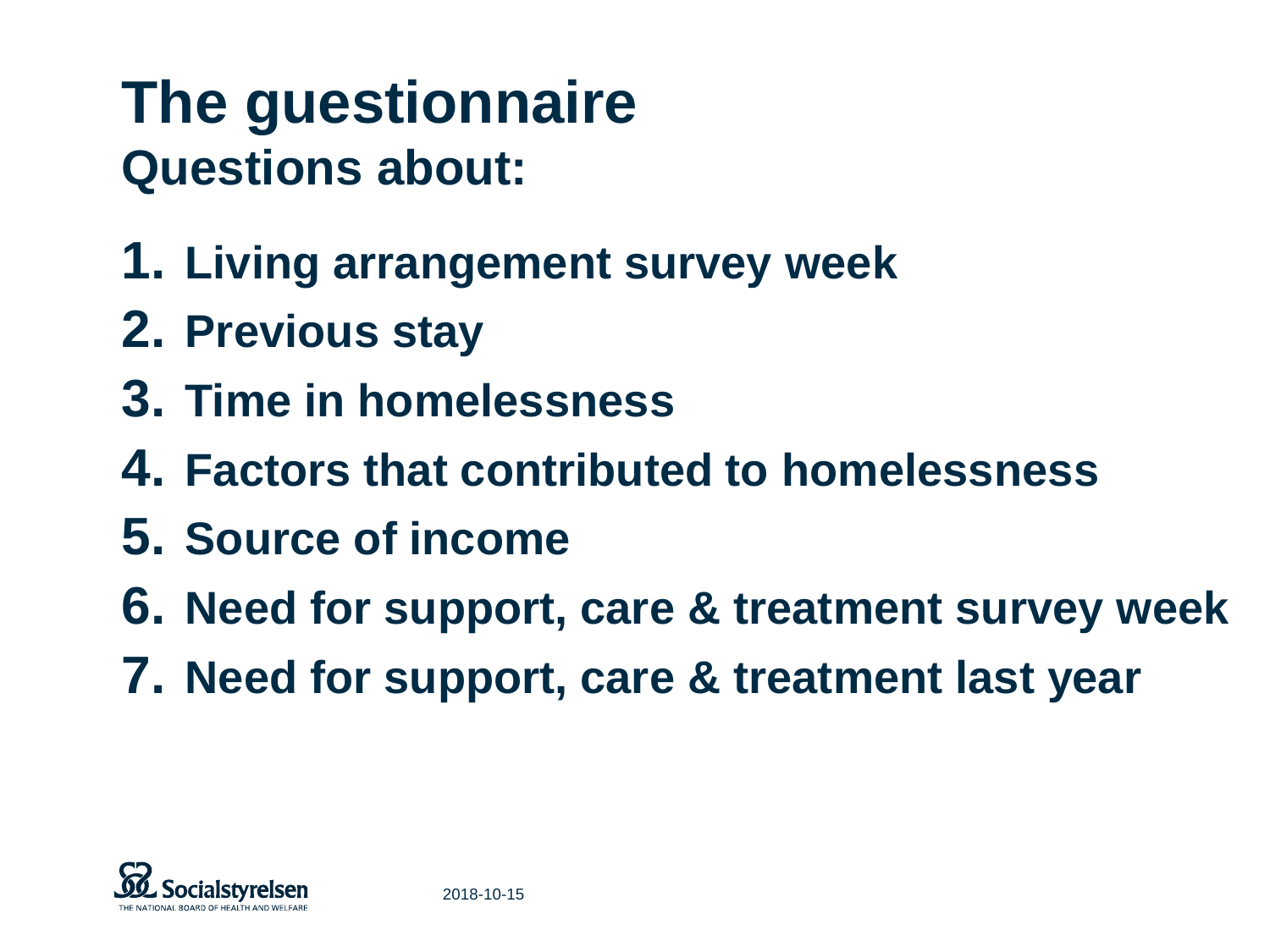## **The guestionnaire Questions about:**

- **1. Living arrangement survey week**
- **2. Previous stay**
- **3. Time in homelessness**
- **4. Factors that contributed to homelessness**
- **5. Source of income**
- **6. Need for support, care & treatment survey week**
- **7. Need for support, care & treatment last year**

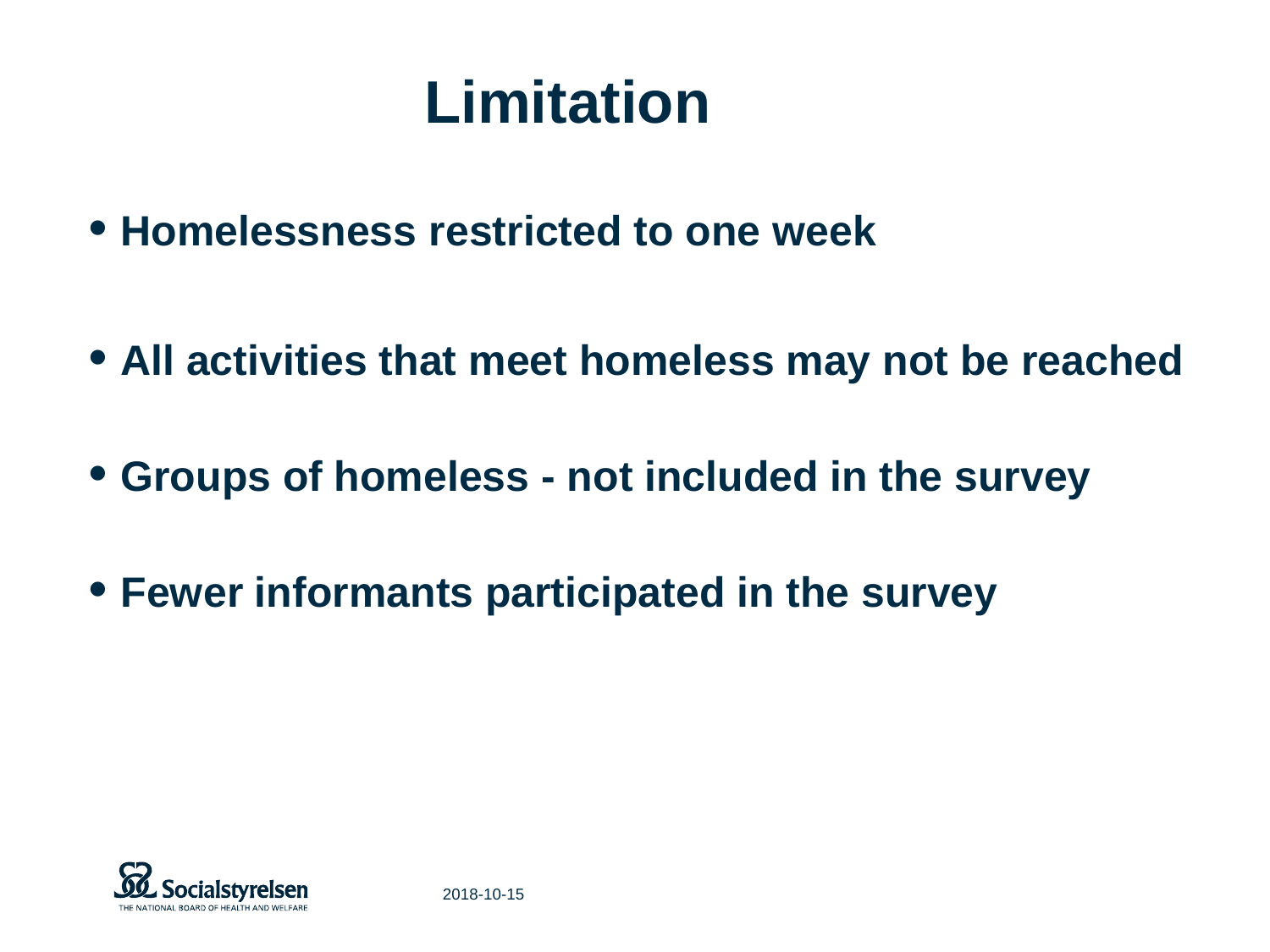## **Limitation**

- **Homelessness restricted to one week**
- **All activities that meet homeless may not be reached**
- **Groups of homeless - not included in the survey**
- **Fewer informants participated in the survey**

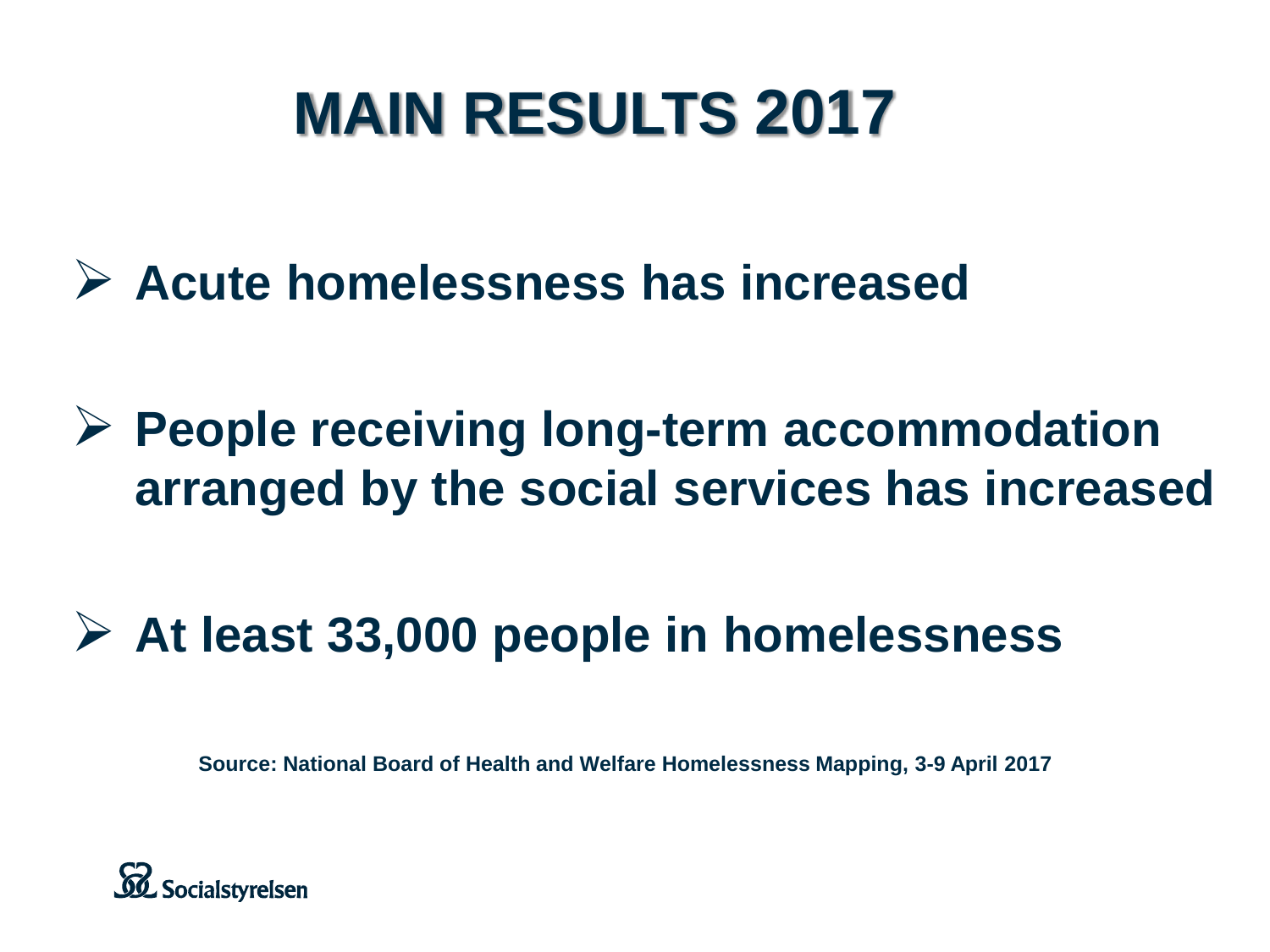# **MAIN RESULTS 2017**

- **Acute homelessness has increased**
- **People receiving long-term accommodation arranged by the social services has increased**
- **At least 33,000 people in homelessness**

**Source: National Board of Health and Welfare Homelessness Mapping, 3-9 April 2017**

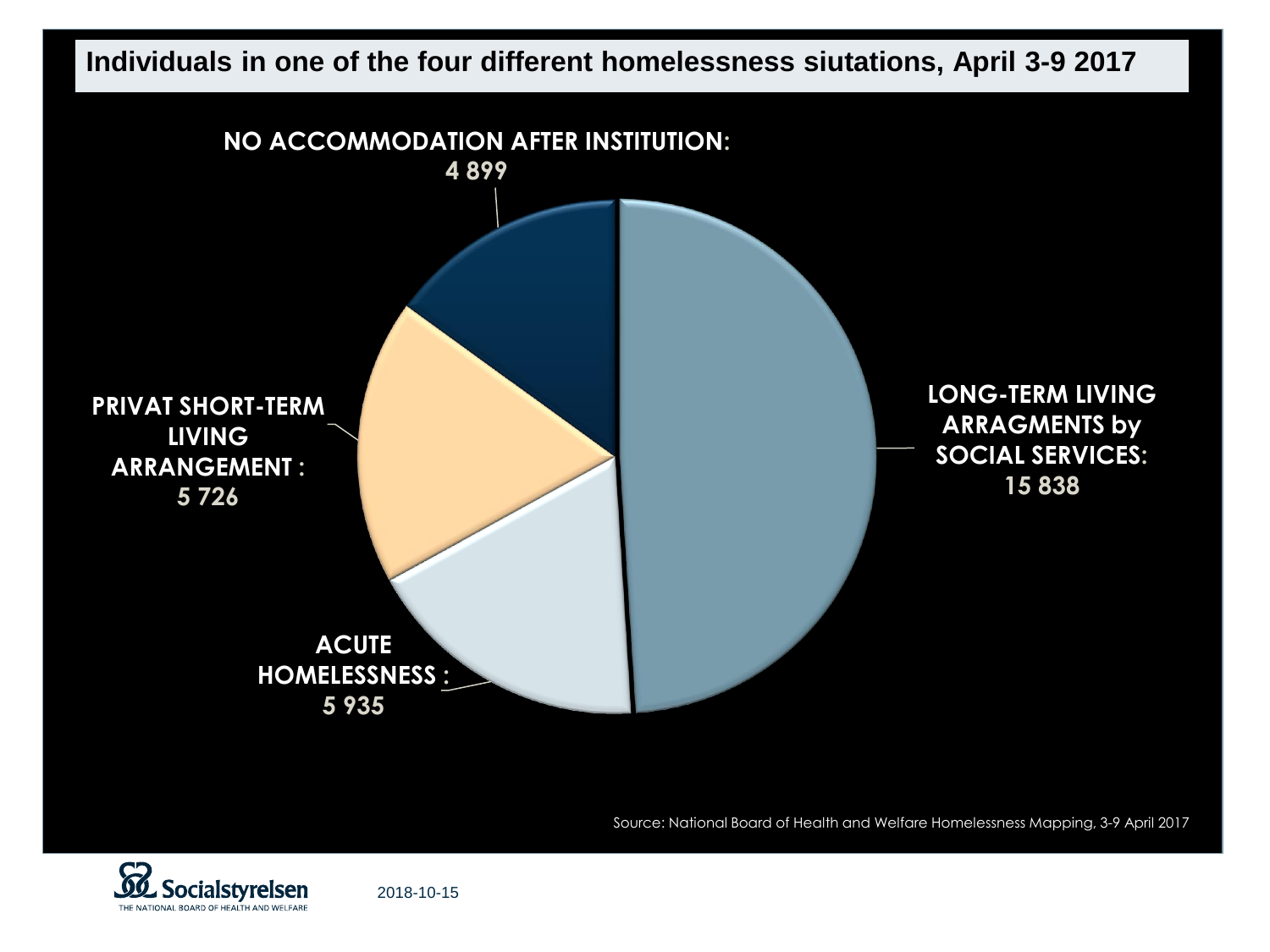

Source: National Board of Health and Welfare Homelessness Mapping, 3-9 April 2017



2018-10-15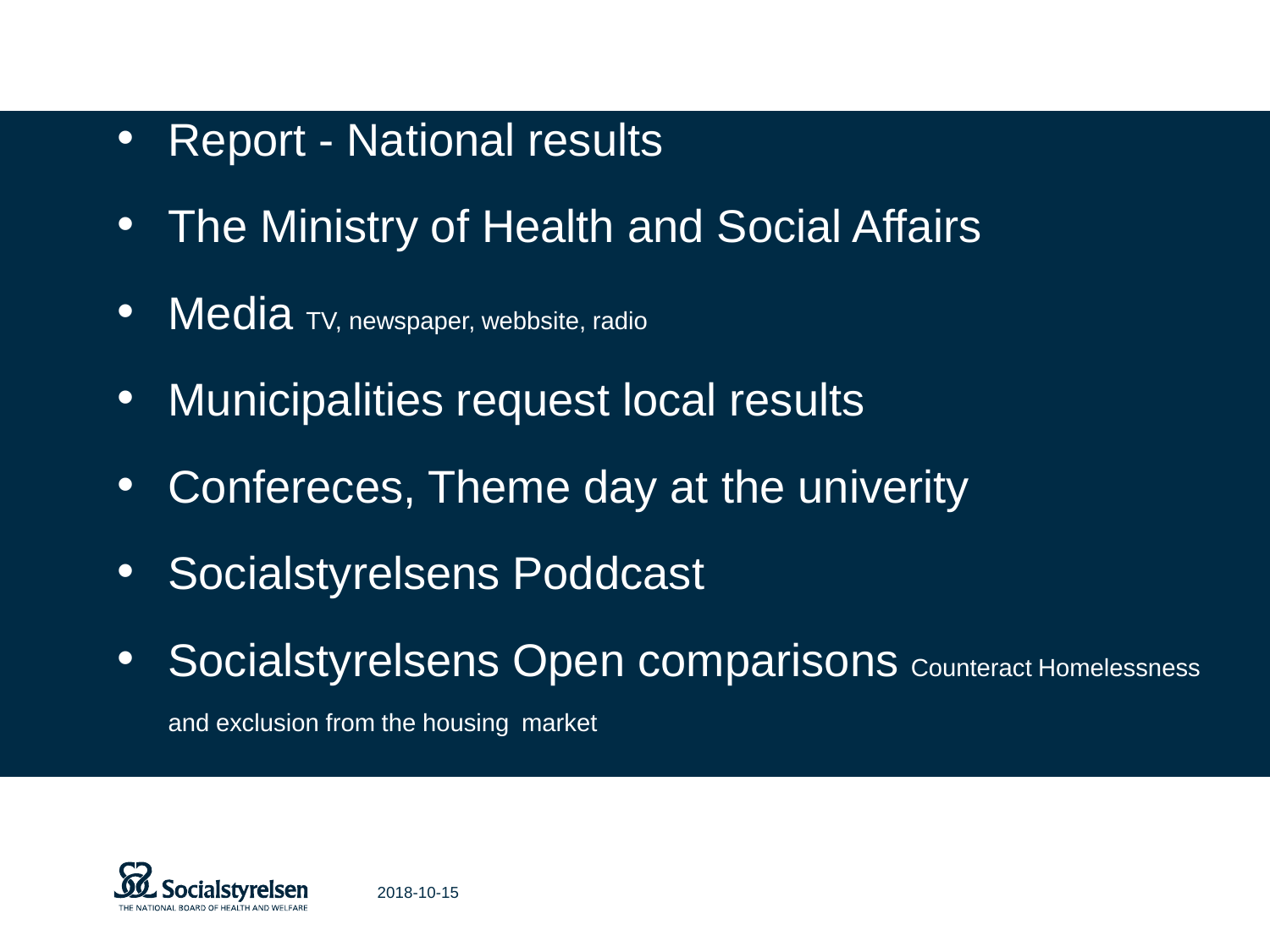#### • Report - National results

- The Ministry of Health and Social Affairs
- **Media** TV, newspaper, webbsite, radio
- Municipalities request local results
- Confereces, Theme day at the univerity
- Socialstyrelsens Poddcast
- Socialstyrelsens Open comparisons Counteract Homelessness

and exclusion from the housing market

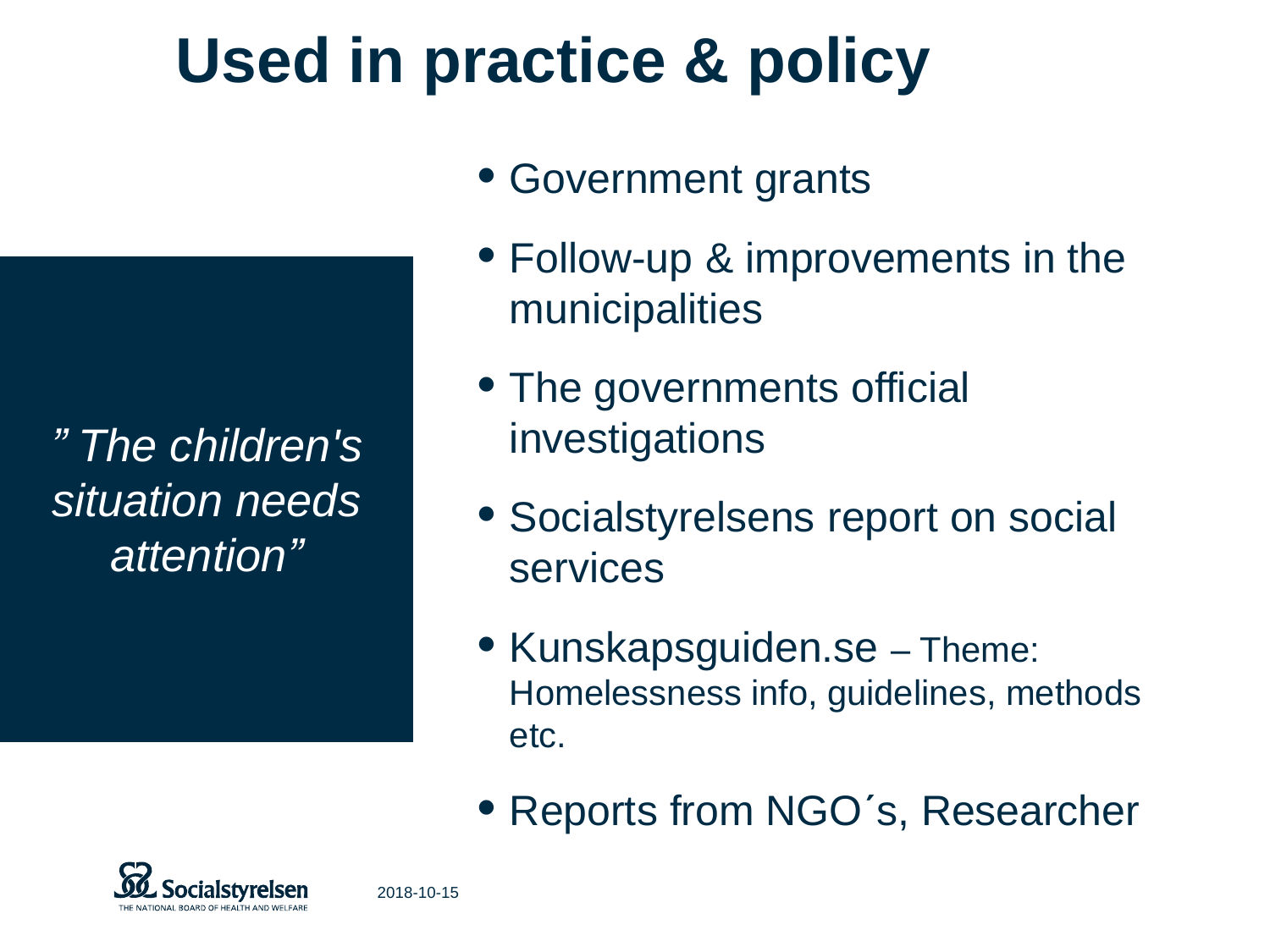### *" The children's situation needs attention"*

• Government grants

**Used in practice & policy**

- Follow-up & improvements in the municipalities
- The governments official investigations
- Socialstyrelsens report on social services
- Kunskapsguiden.se Theme: Homelessness info, guidelines, methods etc.
- Reports from NGO's, Researcher